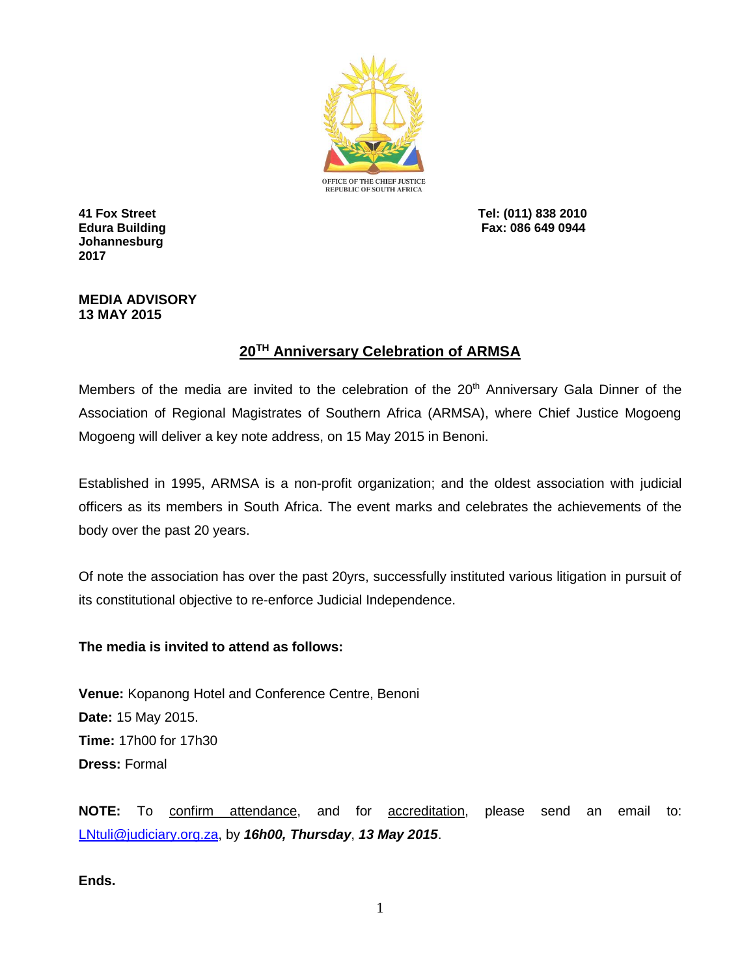

**Johannesburg 2017**

**41 Fox Street Tel: (011) 838 2010 Edura Building Fax: 086 649 0944**

## **MEDIA ADVISORY 13 MAY 2015**

## **20TH Anniversary Celebration of ARMSA**

Members of the media are invited to the celebration of the 20<sup>th</sup> Anniversary Gala Dinner of the Association of Regional Magistrates of Southern Africa (ARMSA), where Chief Justice Mogoeng Mogoeng will deliver a key note address, on 15 May 2015 in Benoni.

Established in 1995, ARMSA is a non-profit organization; and the oldest association with judicial officers as its members in South Africa. The event marks and celebrates the achievements of the body over the past 20 years.

Of note the association has over the past 20yrs, successfully instituted various litigation in pursuit of its constitutional objective to re-enforce Judicial Independence.

## **The media is invited to attend as follows:**

**Venue:** Kopanong Hotel and Conference Centre, Benoni **Date:** 15 May 2015. **Time:** 17h00 for 17h30 **Dress:** Formal

**NOTE:** To confirm attendance, and for accreditation, please send an email to: [LNtuli@judiciary.org.za,](mailto:LNtuli@judiciary.org.za) by *16h00, Thursday*, *13 May 2015*.

**Ends.**